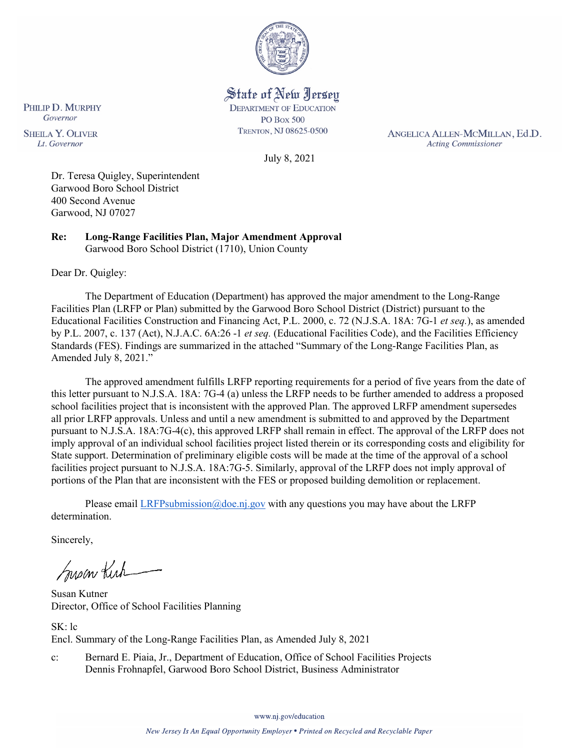

State of New Jersey **DEPARTMENT OF EDUCATION PO Box 500** TRENTON, NJ 08625-0500

ANGELICA ALLEN-MCMILLAN, Ed.D. **Acting Commissioner** 

July 8, 2021

Dr. Teresa Quigley, Superintendent Garwood Boro School District 400 Second Avenue Garwood, NJ 07027

**Re: Long-Range Facilities Plan, Major Amendment Approval**  Garwood Boro School District (1710), Union County

Dear Dr. Quigley:

PHILIP D. MURPHY Governor

**SHEILA Y. OLIVER** 

Lt. Governor

The Department of Education (Department) has approved the major amendment to the Long-Range Facilities Plan (LRFP or Plan) submitted by the Garwood Boro School District (District) pursuant to the Educational Facilities Construction and Financing Act, P.L. 2000, c. 72 (N.J.S.A. 18A: 7G-1 *et seq.*), as amended by P.L. 2007, c. 137 (Act), N.J.A.C. 6A:26 -1 *et seq.* (Educational Facilities Code), and the Facilities Efficiency Standards (FES). Findings are summarized in the attached "Summary of the Long-Range Facilities Plan, as Amended July 8, 2021."

The approved amendment fulfills LRFP reporting requirements for a period of five years from the date of this letter pursuant to N.J.S.A. 18A: 7G-4 (a) unless the LRFP needs to be further amended to address a proposed school facilities project that is inconsistent with the approved Plan. The approved LRFP amendment supersedes all prior LRFP approvals. Unless and until a new amendment is submitted to and approved by the Department pursuant to N.J.S.A. 18A:7G-4(c), this approved LRFP shall remain in effect. The approval of the LRFP does not imply approval of an individual school facilities project listed therein or its corresponding costs and eligibility for State support. Determination of preliminary eligible costs will be made at the time of the approval of a school facilities project pursuant to N.J.S.A. 18A:7G-5. Similarly, approval of the LRFP does not imply approval of portions of the Plan that are inconsistent with the FES or proposed building demolition or replacement.

Please email [LRFPsubmission@doe.nj.gov](mailto:LRFPsubmission@doe.nj.gov) with any questions you may have about the LRFP determination.

Sincerely,

Susan Kich

Susan Kutner Director, Office of School Facilities Planning

SK: lc Encl. Summary of the Long-Range Facilities Plan, as Amended July 8, 2021

c: Bernard E. Piaia, Jr., Department of Education, Office of School Facilities Projects Dennis Frohnapfel, Garwood Boro School District, Business Administrator

www.nj.gov/education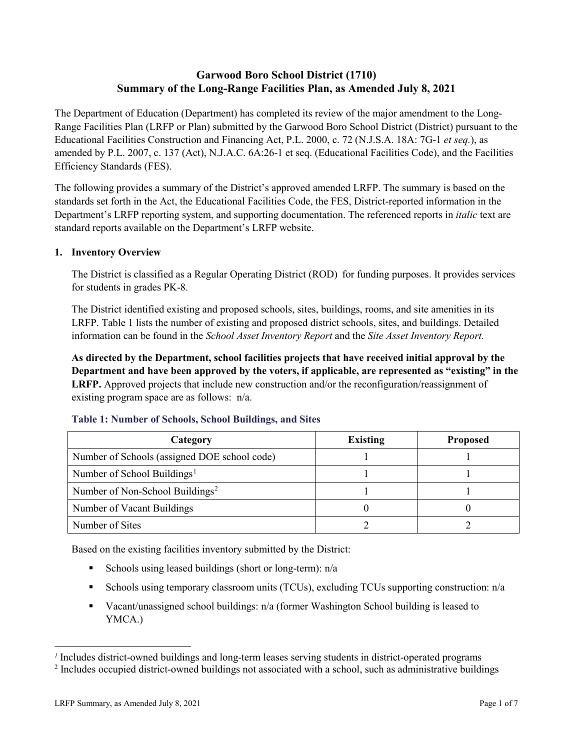# **Garwood Boro School District (1710) Summary of the Long-Range Facilities Plan, as Amended July 8, 2021**

The Department of Education (Department) has completed its review of the major amendment to the Long-Range Facilities Plan (LRFP or Plan) submitted by the Garwood Boro School District (District) pursuant to the Educational Facilities Construction and Financing Act, P.L. 2000, c. 72 (N.J.S.A. 18A: 7G-1 *et seq.*), as amended by P.L. 2007, c. 137 (Act), N.J.A.C. 6A:26-1 et seq. (Educational Facilities Code), and the Facilities Efficiency Standards (FES).

The following provides a summary of the District's approved amended LRFP. The summary is based on the standards set forth in the Act, the Educational Facilities Code, the FES, District-reported information in the Department's LRFP reporting system, and supporting documentation. The referenced reports in *italic* text are standard reports available on the Department's LRFP website.

### **1. Inventory Overview**

The District is classified as a Regular Operating District (ROD) for funding purposes. It provides services for students in grades PK-8.

The District identified existing and proposed schools, sites, buildings, rooms, and site amenities in its LRFP. Table 1 lists the number of existing and proposed district schools, sites, and buildings. Detailed information can be found in the *School Asset Inventory Report* and the *Site Asset Inventory Report.*

**As directed by the Department, school facilities projects that have received initial approval by the Department and have been approved by the voters, if applicable, are represented as "existing" in the LRFP.** Approved projects that include new construction and/or the reconfiguration/reassignment of existing program space are as follows: n/a.

| Category                                     | <b>Existing</b> | <b>Proposed</b> |
|----------------------------------------------|-----------------|-----------------|
| Number of Schools (assigned DOE school code) |                 |                 |
| Number of School Buildings <sup>1</sup>      |                 |                 |
| Number of Non-School Buildings <sup>2</sup>  |                 |                 |
| Number of Vacant Buildings                   |                 |                 |
| Number of Sites                              |                 |                 |

#### **Table 1: Number of Schools, School Buildings, and Sites**

Based on the existing facilities inventory submitted by the District:

- Schools using leased buildings (short or long-term):  $n/a$
- Schools using temporary classroom units (TCUs), excluding TCUs supporting construction:  $n/a$
- Vacant/unassigned school buildings:  $n/a$  (former Washington School building is leased to YMCA.)

 $\overline{a}$ 

<span id="page-1-1"></span><span id="page-1-0"></span>*<sup>1</sup>* Includes district-owned buildings and long-term leases serving students in district-operated programs

<sup>&</sup>lt;sup>2</sup> Includes occupied district-owned buildings not associated with a school, such as administrative buildings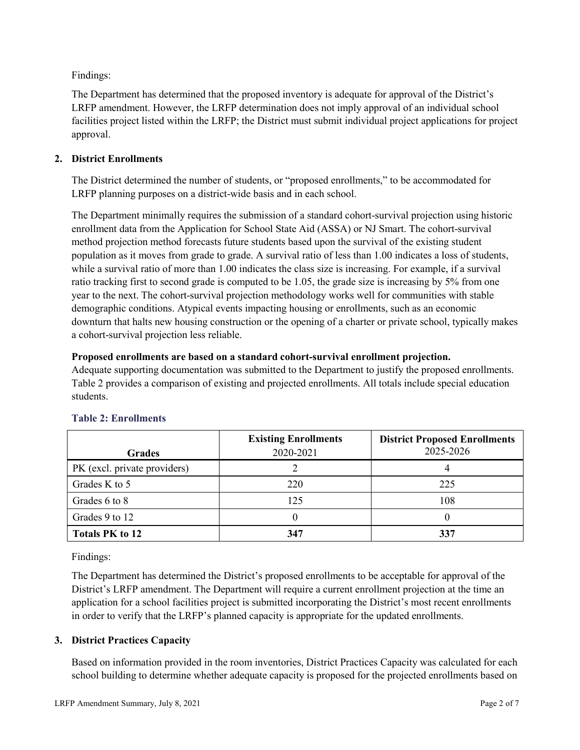Findings:

The Department has determined that the proposed inventory is adequate for approval of the District's LRFP amendment. However, the LRFP determination does not imply approval of an individual school facilities project listed within the LRFP; the District must submit individual project applications for project approval.

# **2. District Enrollments**

The District determined the number of students, or "proposed enrollments," to be accommodated for LRFP planning purposes on a district-wide basis and in each school.

The Department minimally requires the submission of a standard cohort-survival projection using historic enrollment data from the Application for School State Aid (ASSA) or NJ Smart. The cohort-survival method projection method forecasts future students based upon the survival of the existing student population as it moves from grade to grade. A survival ratio of less than 1.00 indicates a loss of students, while a survival ratio of more than 1.00 indicates the class size is increasing. For example, if a survival ratio tracking first to second grade is computed to be 1.05, the grade size is increasing by 5% from one year to the next. The cohort-survival projection methodology works well for communities with stable demographic conditions. Atypical events impacting housing or enrollments, such as an economic downturn that halts new housing construction or the opening of a charter or private school, typically makes a cohort-survival projection less reliable.

### **Proposed enrollments are based on a standard cohort-survival enrollment projection.**

Adequate supporting documentation was submitted to the Department to justify the proposed enrollments. Table 2 provides a comparison of existing and projected enrollments. All totals include special education students.

|                              | <b>Existing Enrollments</b> | <b>District Proposed Enrollments</b> |
|------------------------------|-----------------------------|--------------------------------------|
| <b>Grades</b>                | 2020-2021                   | 2025-2026                            |
| PK (excl. private providers) |                             |                                      |
| Grades K to 5                | 220                         | 225                                  |
| Grades 6 to 8                | 125                         | 108                                  |
| Grades 9 to 12               |                             |                                      |
| <b>Totals PK to 12</b>       | 347                         | 337                                  |

# **Table 2: Enrollments**

Findings:

The Department has determined the District's proposed enrollments to be acceptable for approval of the District's LRFP amendment. The Department will require a current enrollment projection at the time an application for a school facilities project is submitted incorporating the District's most recent enrollments in order to verify that the LRFP's planned capacity is appropriate for the updated enrollments.

# **3. District Practices Capacity**

Based on information provided in the room inventories, District Practices Capacity was calculated for each school building to determine whether adequate capacity is proposed for the projected enrollments based on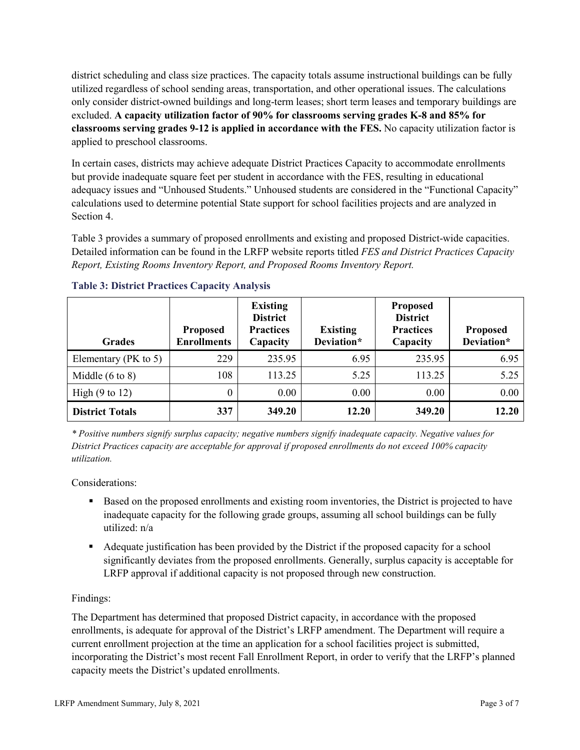district scheduling and class size practices. The capacity totals assume instructional buildings can be fully utilized regardless of school sending areas, transportation, and other operational issues. The calculations only consider district-owned buildings and long-term leases; short term leases and temporary buildings are excluded. **A capacity utilization factor of 90% for classrooms serving grades K-8 and 85% for classrooms serving grades 9-12 is applied in accordance with the FES.** No capacity utilization factor is applied to preschool classrooms.

In certain cases, districts may achieve adequate District Practices Capacity to accommodate enrollments but provide inadequate square feet per student in accordance with the FES, resulting in educational adequacy issues and "Unhoused Students." Unhoused students are considered in the "Functional Capacity" calculations used to determine potential State support for school facilities projects and are analyzed in Section 4.

Table 3 provides a summary of proposed enrollments and existing and proposed District-wide capacities. Detailed information can be found in the LRFP website reports titled *FES and District Practices Capacity Report, Existing Rooms Inventory Report, and Proposed Rooms Inventory Report.*

| <b>Grades</b>              | <b>Proposed</b><br><b>Enrollments</b> | <b>Existing</b><br><b>District</b><br><b>Practices</b><br>Capacity | <b>Existing</b><br>Deviation* | <b>Proposed</b><br><b>District</b><br><b>Practices</b><br>Capacity | <b>Proposed</b><br>Deviation* |
|----------------------------|---------------------------------------|--------------------------------------------------------------------|-------------------------------|--------------------------------------------------------------------|-------------------------------|
| Elementary ( $PK$ to 5)    | 229                                   | 235.95                                                             | 6.95                          | 235.95                                                             | 6.95                          |
| Middle $(6 \text{ to } 8)$ | 108                                   | 113.25                                                             | 5.25                          | 113.25                                                             | 5.25                          |
| High $(9 \text{ to } 12)$  | 0                                     | 0.00                                                               | 0.00                          | 0.00                                                               | 0.00                          |
| <b>District Totals</b>     | 337                                   | 349.20                                                             | 12.20                         | 349.20                                                             | 12.20                         |

# **Table 3: District Practices Capacity Analysis**

*\* Positive numbers signify surplus capacity; negative numbers signify inadequate capacity. Negative values for District Practices capacity are acceptable for approval if proposed enrollments do not exceed 100% capacity utilization.*

Considerations:

- Based on the proposed enrollments and existing room inventories, the District is projected to have inadequate capacity for the following grade groups, assuming all school buildings can be fully utilized: n/a
- Adequate justification has been provided by the District if the proposed capacity for a school significantly deviates from the proposed enrollments. Generally, surplus capacity is acceptable for LRFP approval if additional capacity is not proposed through new construction.

# Findings:

The Department has determined that proposed District capacity, in accordance with the proposed enrollments, is adequate for approval of the District's LRFP amendment. The Department will require a current enrollment projection at the time an application for a school facilities project is submitted, incorporating the District's most recent Fall Enrollment Report, in order to verify that the LRFP's planned capacity meets the District's updated enrollments.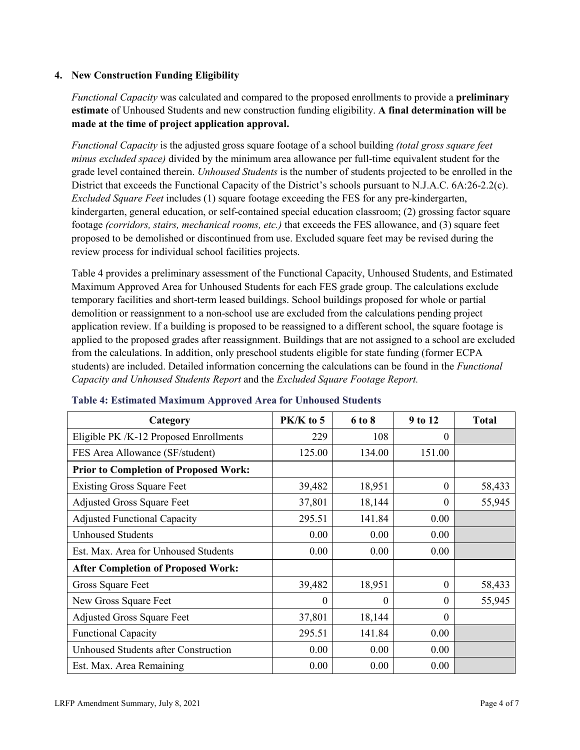### **4. New Construction Funding Eligibility**

*Functional Capacity* was calculated and compared to the proposed enrollments to provide a **preliminary estimate** of Unhoused Students and new construction funding eligibility. **A final determination will be made at the time of project application approval.**

*Functional Capacity* is the adjusted gross square footage of a school building *(total gross square feet minus excluded space)* divided by the minimum area allowance per full-time equivalent student for the grade level contained therein. *Unhoused Students* is the number of students projected to be enrolled in the District that exceeds the Functional Capacity of the District's schools pursuant to N.J.A.C. 6A:26-2.2(c). *Excluded Square Feet* includes (1) square footage exceeding the FES for any pre-kindergarten, kindergarten, general education, or self-contained special education classroom; (2) grossing factor square footage *(corridors, stairs, mechanical rooms, etc.)* that exceeds the FES allowance, and (3) square feet proposed to be demolished or discontinued from use. Excluded square feet may be revised during the review process for individual school facilities projects.

Table 4 provides a preliminary assessment of the Functional Capacity, Unhoused Students, and Estimated Maximum Approved Area for Unhoused Students for each FES grade group. The calculations exclude temporary facilities and short-term leased buildings. School buildings proposed for whole or partial demolition or reassignment to a non-school use are excluded from the calculations pending project application review. If a building is proposed to be reassigned to a different school, the square footage is applied to the proposed grades after reassignment. Buildings that are not assigned to a school are excluded from the calculations. In addition, only preschool students eligible for state funding (former ECPA students) are included. Detailed information concerning the calculations can be found in the *Functional Capacity and Unhoused Students Report* and the *Excluded Square Footage Report.*

| Category                                     | PK/K to 5 | 6 to 8   | 9 to 12  | <b>Total</b> |
|----------------------------------------------|-----------|----------|----------|--------------|
| Eligible PK /K-12 Proposed Enrollments       | 229       | 108      | 0        |              |
| FES Area Allowance (SF/student)              | 125.00    | 134.00   | 151.00   |              |
| <b>Prior to Completion of Proposed Work:</b> |           |          |          |              |
| <b>Existing Gross Square Feet</b>            | 39,482    | 18,951   | $\theta$ | 58,433       |
| <b>Adjusted Gross Square Feet</b>            | 37,801    | 18,144   | $\theta$ | 55,945       |
| <b>Adjusted Functional Capacity</b>          | 295.51    | 141.84   | 0.00     |              |
| <b>Unhoused Students</b>                     | 0.00      | 0.00     | 0.00     |              |
| Est. Max. Area for Unhoused Students         | 0.00      | 0.00     | 0.00     |              |
| <b>After Completion of Proposed Work:</b>    |           |          |          |              |
| Gross Square Feet                            | 39,482    | 18,951   | 0        | 58,433       |
| New Gross Square Feet                        | $\theta$  | $\theta$ | 0        | 55,945       |
| <b>Adjusted Gross Square Feet</b>            | 37,801    | 18,144   | $\Omega$ |              |
| <b>Functional Capacity</b>                   | 295.51    | 141.84   | 0.00     |              |
| Unhoused Students after Construction         | 0.00      | 0.00     | 0.00     |              |
| Est. Max. Area Remaining                     | 0.00      | 0.00     | 0.00     |              |

#### **Table 4: Estimated Maximum Approved Area for Unhoused Students**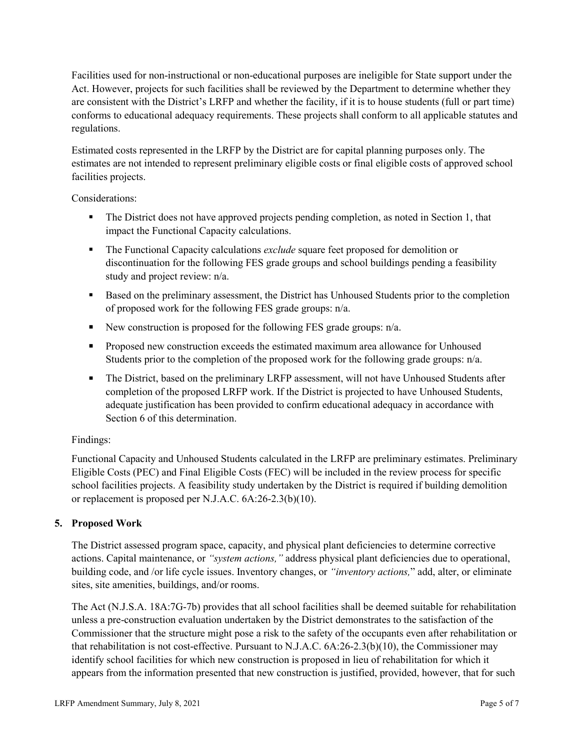Facilities used for non-instructional or non-educational purposes are ineligible for State support under the Act. However, projects for such facilities shall be reviewed by the Department to determine whether they are consistent with the District's LRFP and whether the facility, if it is to house students (full or part time) conforms to educational adequacy requirements. These projects shall conform to all applicable statutes and regulations.

Estimated costs represented in the LRFP by the District are for capital planning purposes only. The estimates are not intended to represent preliminary eligible costs or final eligible costs of approved school facilities projects.

Considerations:

- The District does not have approved projects pending completion, as noted in Section 1, that impact the Functional Capacity calculations.
- **The Functional Capacity calculations** *exclude* square feet proposed for demolition or discontinuation for the following FES grade groups and school buildings pending a feasibility study and project review: n/a.
- Based on the preliminary assessment, the District has Unhoused Students prior to the completion of proposed work for the following FES grade groups: n/a.
- New construction is proposed for the following FES grade groups: n/a.
- Proposed new construction exceeds the estimated maximum area allowance for Unhoused Students prior to the completion of the proposed work for the following grade groups: n/a.
- The District, based on the preliminary LRFP assessment, will not have Unhoused Students after completion of the proposed LRFP work. If the District is projected to have Unhoused Students, adequate justification has been provided to confirm educational adequacy in accordance with Section 6 of this determination.

# Findings:

Functional Capacity and Unhoused Students calculated in the LRFP are preliminary estimates. Preliminary Eligible Costs (PEC) and Final Eligible Costs (FEC) will be included in the review process for specific school facilities projects. A feasibility study undertaken by the District is required if building demolition or replacement is proposed per N.J.A.C. 6A:26-2.3(b)(10).

# **5. Proposed Work**

The District assessed program space, capacity, and physical plant deficiencies to determine corrective actions. Capital maintenance, or *"system actions,"* address physical plant deficiencies due to operational, building code, and /or life cycle issues. Inventory changes, or *"inventory actions,*" add, alter, or eliminate sites, site amenities, buildings, and/or rooms.

The Act (N.J.S.A. 18A:7G-7b) provides that all school facilities shall be deemed suitable for rehabilitation unless a pre-construction evaluation undertaken by the District demonstrates to the satisfaction of the Commissioner that the structure might pose a risk to the safety of the occupants even after rehabilitation or that rehabilitation is not cost-effective. Pursuant to N.J.A.C. 6A:26-2.3(b)(10), the Commissioner may identify school facilities for which new construction is proposed in lieu of rehabilitation for which it appears from the information presented that new construction is justified, provided, however, that for such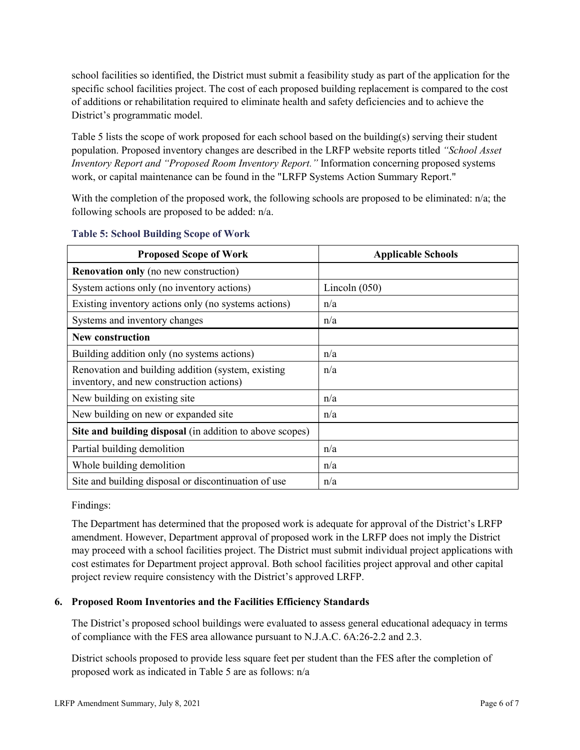school facilities so identified, the District must submit a feasibility study as part of the application for the specific school facilities project. The cost of each proposed building replacement is compared to the cost of additions or rehabilitation required to eliminate health and safety deficiencies and to achieve the District's programmatic model.

Table 5 lists the scope of work proposed for each school based on the building(s) serving their student population. Proposed inventory changes are described in the LRFP website reports titled *"School Asset Inventory Report and "Proposed Room Inventory Report."* Information concerning proposed systems work, or capital maintenance can be found in the "LRFP Systems Action Summary Report."

With the completion of the proposed work, the following schools are proposed to be eliminated: n/a; the following schools are proposed to be added: n/a.

| <b>Proposed Scope of Work</b>                                                                  | <b>Applicable Schools</b> |
|------------------------------------------------------------------------------------------------|---------------------------|
| <b>Renovation only</b> (no new construction)                                                   |                           |
| System actions only (no inventory actions)                                                     | Lincoln $(050)$           |
| Existing inventory actions only (no systems actions)                                           | n/a                       |
| Systems and inventory changes                                                                  | n/a                       |
| <b>New construction</b>                                                                        |                           |
| Building addition only (no systems actions)                                                    | n/a                       |
| Renovation and building addition (system, existing<br>inventory, and new construction actions) | n/a                       |
| New building on existing site                                                                  | n/a                       |
| New building on new or expanded site                                                           | n/a                       |
| Site and building disposal (in addition to above scopes)                                       |                           |
| Partial building demolition                                                                    | n/a                       |
| Whole building demolition                                                                      | n/a                       |
| Site and building disposal or discontinuation of use                                           | n/a                       |

#### **Table 5: School Building Scope of Work**

Findings:

The Department has determined that the proposed work is adequate for approval of the District's LRFP amendment. However, Department approval of proposed work in the LRFP does not imply the District may proceed with a school facilities project. The District must submit individual project applications with cost estimates for Department project approval. Both school facilities project approval and other capital project review require consistency with the District's approved LRFP.

# **6. Proposed Room Inventories and the Facilities Efficiency Standards**

The District's proposed school buildings were evaluated to assess general educational adequacy in terms of compliance with the FES area allowance pursuant to N.J.A.C. 6A:26-2.2 and 2.3.

District schools proposed to provide less square feet per student than the FES after the completion of proposed work as indicated in Table 5 are as follows: n/a